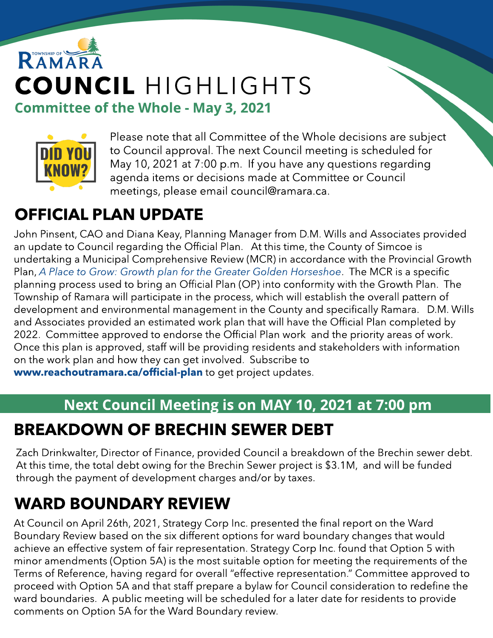# RAMAR COUNCIL HIGHLIGHTS **Committee of the Whole - May 3, 2021**



Please note that all Committee of the Whole decisions are subject to Council approval. The next Council meeting is scheduled for May 10, 2021 at 7:00 p.m. If you have any questions regarding agenda items or decisions made at Committee or Council meetings, please email council@ramara.ca.

## OFFICIAL PLAN UPDATE

John Pinsent, CAO and Diana Keay, Planning Manager from D.M. Wills and Associates provided an update to Council regarding the Official Plan. At this time, the County of Simcoe is undertaking a Municipal Comprehensive Review (MCR) in accordance with the Provincial Growth Plan, **[A](https://www.ontario.ca/document/place-grow-growth-plan-greater-golden-horseshoe) [Place](https://www.ontario.ca/document/place-grow-growth-plan-greater-golden-horseshoe) [to](https://www.ontario.ca/document/place-grow-growth-plan-greater-golden-horseshoe) [Grow:](https://www.ontario.ca/document/place-grow-growth-plan-greater-golden-horseshoe) [Growth](https://www.ontario.ca/document/place-grow-growth-plan-greater-golden-horseshoe) [plan](https://www.ontario.ca/document/place-grow-growth-plan-greater-golden-horseshoe) [for](https://www.ontario.ca/document/place-grow-growth-plan-greater-golden-horseshoe) [the](https://www.ontario.ca/document/place-grow-growth-plan-greater-golden-horseshoe) [Greater](https://www.ontario.ca/document/place-grow-growth-plan-greater-golden-horseshoe) [Golden](https://www.ontario.ca/document/place-grow-growth-plan-greater-golden-horseshoe) [Horseshoe](https://www.ontario.ca/document/place-grow-growth-plan-greater-golden-horseshoe)**. The MCRis a specific planning process used to bring an Official Plan (OP) into conformity with the Growth Plan. The Township of Ramara will participate in the process, which will establish the overall pattern of development and environmental management in the County and specifically Ramara. D.M. Wills and Associates provided an estimated work plan that will have the Official Plan completed by 2022. Committee approved to endorse the Official Plan work and the priority areas of work. Once this plan is approved, staff will be providing residents and stakeholders with information on the work plan and how they can get involved. Subscribe to ww[w.reachoutramara.ca/official-plan](https://reachoutramara.ca/official-plan) to get project updates.

#### Next Council Meeting is on MAY 10, 2021 at 7:00 pm

#### BREAKDOWN OF BRECHIN SEWER DEBT

Zach Drinkwalter, Director of Finance, provided Council a breakdown of the Brechin sewer debt. At this time, the total debt owing for the Brechin Sewer project is \$3.1M, and will be funded through the payment of development charges and/or by taxes.

### WARD BOUNDARY REVIEW

At Council on April 26th, 2021, Strategy Corp Inc. presented the final report on the Ward Boundary Review based on the six different options for ward boundary changes that would achieve an effective system of fair representation. Strategy Corp Inc. found that Option 5 with minor amendments (Option 5A) is the most suitable option for meeting the requirements of the Terms of Reference, having regard for overall "effective representation." Committee approved to proceed with Option 5A and that staff prepare a bylaw for Council consideration to redefine the ward boundaries. A public meeting will be scheduled for a later date for residents to provide comments on Option 5A for the Ward Boundary review.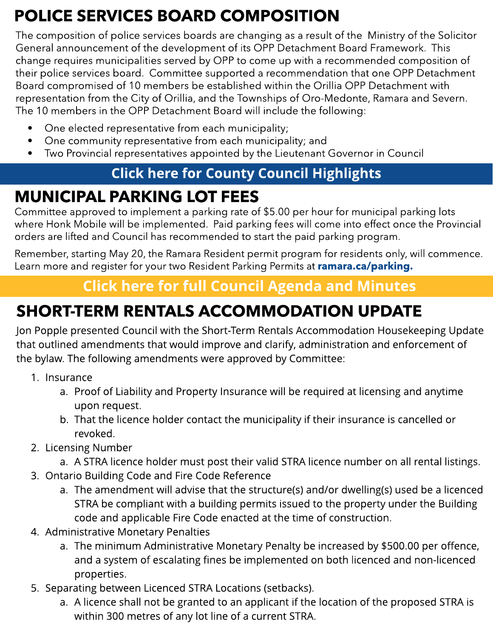## POLICE SERVICES BOARD COMPOSITION

The composition of police services boards are changing as a result of the Ministry of the Solicitor General announcement of the development of its OPP Detachment Board Framework. This change requires municipalities served by OPP to come up with a recommended composition of their police services board. Committee supported a recommendation that one OPP Detachment Board compromised of 10 members be established within the Orillia OPP Detachment with representation from the City of Orillia, and the Townships of Oro-Medonte, Ramara and Severn. The 10 members in the OPP Detachment Board will include the following:

- One elected representative from each municipality;
- One community representative from each municipality; and
- Two Provincial representatives appointed by the Lieutenant Governor in Council

#### **[Click](https://www.simcoe.ca/dpt/ccd/newsletters) [here](https://www.simcoe.ca/dpt/ccd/newsletters) [for](https://www.simcoe.ca/dpt/ccd/newsletters) [Count](https://www.simcoe.ca/dpt/ccd/newsletters)y [Council](https://www.simcoe.ca/dpt/ccd/newsletters) [Highlight](https://www.simcoe.ca/dpt/ccd/newsletters)s**

### MUNICIPAL PARKING LOT FEES

Committee approved to implement a parking rate of \$5.00 per hour for municipal parking lots where Honk Mobile will be implemented. Paid parking fees will come into effect once the Provincial orders are lifted and Council has recommended to start the paid parking program.

Remember, starting May 20, the Ramara Resident permit program for residents only, will commence. Learn more and register for your two Resident Parking Permits at [ramara.ca/parking.](http://www.ramara.ca/parking)

#### **[Click](https://ramara.civicweb.net/portal/) [here](https://ramara.civicweb.net/portal/) [for](https://ramara.civicweb.net/portal/) [full](https://ramara.civicweb.net/portal/) [Council](https://ramara.civicweb.net/portal/) [Agenda](https://ramara.civicweb.net/portal/) [and](https://ramara.civicweb.net/portal/) [Minut](https://ramara.civicweb.net/portal/)es**

# SHORT-TERM RENTALS ACCOMMODATION UPDATE

Jon Popple presented Council with the Short-Term Rentals Accommodation Housekeeping Update that outlined amendments that would improve and clarify, administration and enforcement of the bylaw. The following amendments were approved by Committee:

- 1. Insurance
	- a. Proof of Liability and Property Insurance will be required at licensing and anytime upon request.
	- b. That the licence holder contact the municipality if their insurance is cancelled or revoked.
- 2. Licensing Number
	- a. A STRA licence holder must post their valid STRA licence number on all rental listings.
- 3. Ontario Building Code and Fire Code Reference
	- a. The amendment will advise that the structure(s) and/or dwelling(s) used be a licenced STRA be compliant with a building permits issued to the property under the Building code and applicable Fire Code enacted at the time of construction.
- 4. Administrative Monetary Penalties
	- a. The minimum Administrative Monetary Penalty be increased by \$500.00 per offence, and a system of escalating fines be implemented on both licenced and non-licenced properties.
- 5. Separating between Licenced STRA Locations (setbacks).
	- a. A licence shall not be granted to an applicant if the location of the proposed STRA is within 300 metres of any lot line of a current STRA.